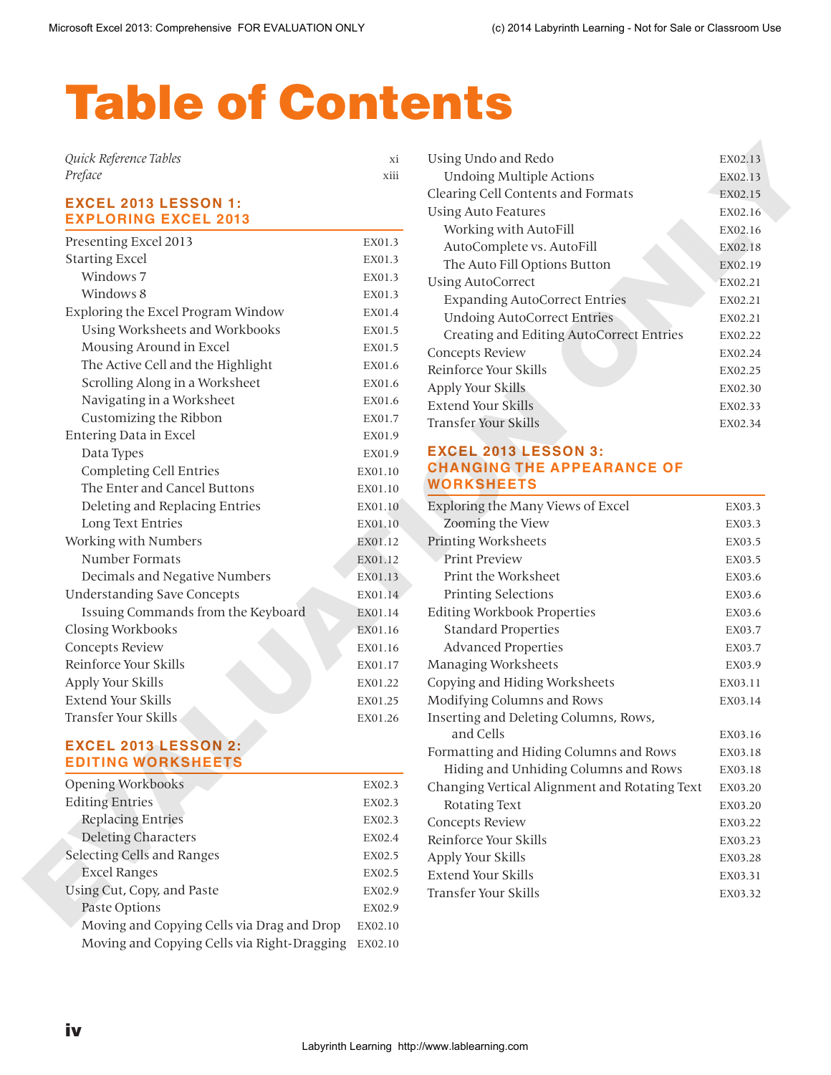# Table of Contents

| Quick Reference Tables |          |
|------------------------|----------|
| Preface                | <br>XIII |

# **EXCEL 2013 LESSON 1: EXPLORING EXCEL 2013**

| <b>EXCEL 2013 LESSON 1:</b><br><b>EXPLORING EXCEL 2013</b> |         | <b>Using Auto Features</b>                                                 | EX02.16            |
|------------------------------------------------------------|---------|----------------------------------------------------------------------------|--------------------|
| Presenting Excel 2013                                      | EX01.3  | Working with AutoFill                                                      | EX02.16            |
| <b>Starting Excel</b>                                      | EX01.3  | AutoComplete vs. AutoFill                                                  | EX02.18            |
| Windows 7                                                  | EX01.3  | The Auto Fill Options Button                                               | EX02.19            |
| Windows 8                                                  | EX01.3  | <b>Using AutoCorrect</b>                                                   | EX02.21            |
| Exploring the Excel Program Window                         | EX01.4  | <b>Expanding AutoCorrect Entries</b><br><b>Undoing AutoCorrect Entries</b> | EX02.21            |
| Using Worksheets and Workbooks                             | EX01.5  |                                                                            | EX02.21            |
| Mousing Around in Excel                                    | EX01.5  | Creating and Editing AutoCorrect Entries                                   | EX02.22            |
| The Active Cell and the Highlight                          | EX01.6  | Concepts Review<br>Reinforce Your Skills                                   | EX02.24            |
| Scrolling Along in a Worksheet                             | EX01.6  | Apply Your Skills                                                          | EX02.25            |
| Navigating in a Worksheet                                  | EX01.6  | <b>Extend Your Skills</b>                                                  | EX02.30<br>EX02.33 |
| Customizing the Ribbon                                     | EX01.7  | <b>Transfer Your Skills</b>                                                | EX02.34            |
| <b>Entering Data in Excel</b>                              | EX01.9  |                                                                            |                    |
| Data Types                                                 | EX01.9  | <b>EXCEL 2013 LESSON 3:</b>                                                |                    |
| <b>Completing Cell Entries</b>                             | EX01.10 | <b>CHANGING THE APPEARANCE OF</b>                                          |                    |
| The Enter and Cancel Buttons                               | EX01.10 | <b>WORKSHEETS</b>                                                          |                    |
| Deleting and Replacing Entries                             | EX01.10 | Exploring the Many Views of Excel                                          | EX03.3             |
| Long Text Entries                                          | EX01.10 | Zooming the View                                                           | EX03.3             |
| Working with Numbers                                       | EX01.12 | Printing Worksheets                                                        | EX03.5             |
| Number Formats                                             | EX01.12 | <b>Print Preview</b>                                                       | EX03.5             |
| Decimals and Negative Numbers                              | EX01.13 | Print the Worksheet                                                        | EX03.6             |
| <b>Understanding Save Concepts</b>                         | EX01.14 | Printing Selections                                                        | EX03.6             |
| Issuing Commands from the Keyboard                         | EX01.14 | <b>Editing Workbook Properties</b>                                         | EX03.6             |
| Closing Workbooks                                          | EX01.16 | <b>Standard Properties</b>                                                 | EX03.7             |
| Concepts Review                                            | EX01.16 | <b>Advanced Properties</b>                                                 | EX03.7             |
| Reinforce Your Skills                                      | EX01.17 | Managing Worksheets                                                        | EX03.9             |
| Apply Your Skills                                          | EX01.22 | Copying and Hiding Worksheets                                              | EX03.11            |
| <b>Extend Your Skills</b>                                  | EX01.25 | Modifying Columns and Rows                                                 | EX03.14            |
| Transfer Your Skills                                       | EX01.26 | Inserting and Deleting Columns, Rows,<br>and Cells                         | EX03.16            |
| <b>EXCEL 2013 LESSON 2:</b>                                |         | Formatting and Hiding Columns and Rows                                     | EX03.18            |
| <b>EDITING WORKSHEETS</b>                                  |         | Hiding and Unhiding Columns and Rows                                       | EX03.18            |
| <b>Opening Workbooks</b>                                   | EX02.3  | Changing Vertical Alignment and Rotating Text                              | EX03.20            |
| <b>Editing Entries</b>                                     | EX02.3  | Rotating Text                                                              | EX03.20            |
| <b>Replacing Entries</b>                                   | EX02.3  | Concepts Review                                                            | EX03.22            |
| <b>Deleting Characters</b>                                 | EX02.4  | Reinforce Your Skills                                                      | EX03.23            |
| Selecting Cells and Ranges                                 | EX02.5  | Apply Your Skills                                                          | EX03.28            |
| <b>Excel Ranges</b>                                        | EX02.5  | Extend Your Skills                                                         | EX03.31            |
| Using Cut, Copy, and Paste                                 | EX02.9  | Transfer Your Skills                                                       | EX03.32            |
| Paste Options                                              | EX02.9  |                                                                            |                    |
| Moving and Copying Cells via Drag and Drop                 | EX02.10 |                                                                            |                    |
| Moving and Copying Cells via Right-Dragging                | EX02.10 |                                                                            |                    |

# **EXCEL 2013 LESSON 2: EDITING WORKSHEETS**

| <b>Opening Workbooks</b>                    | EX02.3  |
|---------------------------------------------|---------|
| <b>Editing Entries</b>                      | EX02.3  |
| <b>Replacing Entries</b>                    | EX02.3  |
| <b>Deleting Characters</b>                  | EX02.4  |
| Selecting Cells and Ranges                  | EX02.5  |
| <b>Excel Ranges</b>                         | EX02.5  |
| Using Cut, Copy, and Paste                  | EX02.9  |
| Paste Options                               | EX02.9  |
| Moving and Copying Cells via Drag and Drop  | EX02.10 |
| Moving and Copying Cells via Right-Dragging | EX02.10 |
|                                             |         |

| Using Undo and Redo                      | EX02.13 |
|------------------------------------------|---------|
| <b>Undoing Multiple Actions</b>          | EX02.13 |
| Clearing Cell Contents and Formats       | EX02.15 |
| Using Auto Features                      | EX02.16 |
| Working with AutoFill                    | EX02.16 |
| AutoComplete vs. AutoFill                | EX02.18 |
| The Auto Fill Options Button             | EX02.19 |
| <b>Using AutoCorrect</b>                 | EX02.21 |
| <b>Expanding AutoCorrect Entries</b>     | EX02.21 |
| <b>Undoing AutoCorrect Entries</b>       | EX02.21 |
| Creating and Editing AutoCorrect Entries | EX02.22 |
| Concepts Review                          | EX02.24 |
| Reinforce Your Skills                    | EX02.25 |
| Apply Your Skills                        | EX02.30 |
| Extend Your Skills                       | EX02.33 |
| Transfer Your Skills                     | EX02.34 |

#### **EXCEL 2013 LESSON 3: CHANGING THE APPEARANCE OF WORKSHEETS**

| Exploring the Many Views of Excel             | EX03.3  |
|-----------------------------------------------|---------|
| Zooming the View                              | EX03.3  |
| <b>Printing Worksheets</b>                    | EX03.5  |
| <b>Print Preview</b>                          | EX03.5  |
| Print the Worksheet                           | EX03.6  |
| <b>Printing Selections</b>                    | EX03.6  |
| <b>Editing Workbook Properties</b>            | EX03.6  |
| <b>Standard Properties</b>                    | EX03.7  |
| <b>Advanced Properties</b>                    | EX03.7  |
| Managing Worksheets                           | EX03.9  |
| Copying and Hiding Worksheets                 | EX03.11 |
| Modifying Columns and Rows                    | EX03.14 |
| Inserting and Deleting Columns, Rows,         |         |
| and Cells                                     | EX03.16 |
| Formatting and Hiding Columns and Rows        | EX03.18 |
| Hiding and Unhiding Columns and Rows          | EX03.18 |
| Changing Vertical Alignment and Rotating Text | EX03.20 |
| Rotating Text                                 | EX03.20 |
| Concepts Review                               | EX03.22 |
| Reinforce Your Skills                         | EX03.23 |
| Apply Your Skills                             | EX03.28 |
| Extend Your Skills                            | EX03.31 |
| Transfer Your Skills                          | EX03.32 |
|                                               |         |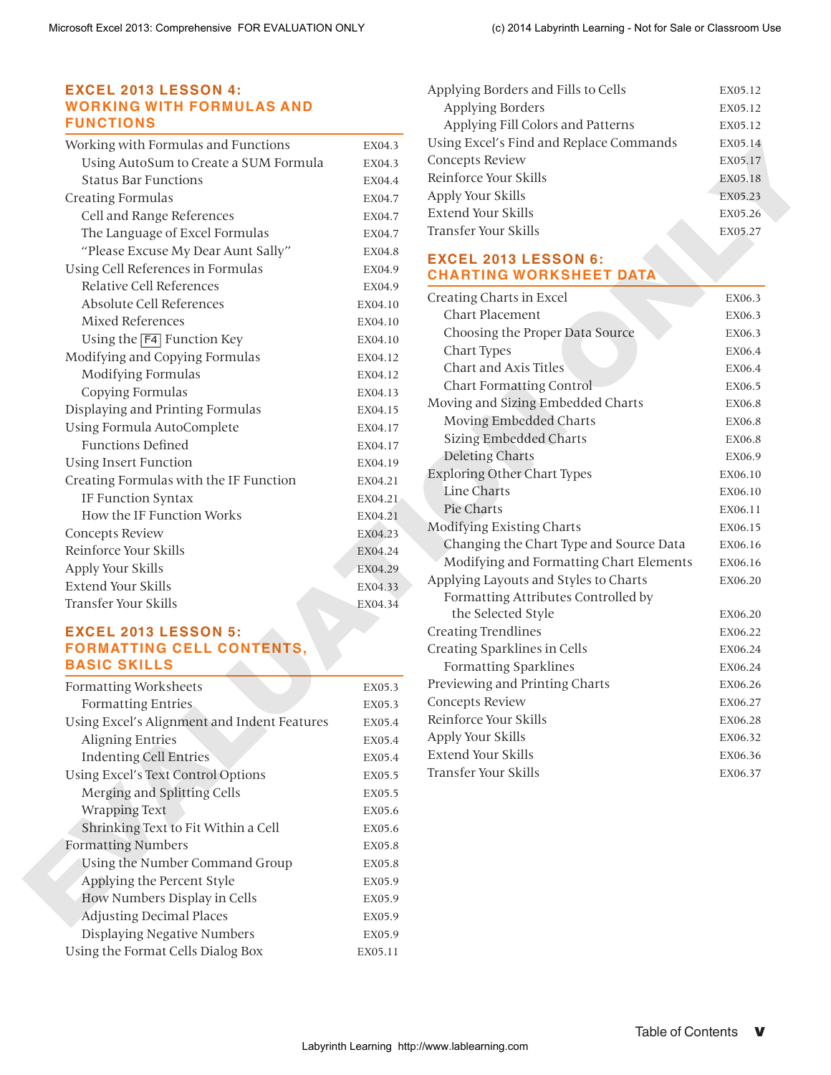#### **EXCEL 2013 LESSON 4: WORKING WITH FORMULAS AND FUNCTIONS**

| Working with Formulas and Functions    | EX04.3  |
|----------------------------------------|---------|
| Using AutoSum to Create a SUM Formula  | EX04.3  |
| <b>Status Bar Functions</b>            | EX04.4  |
| <b>Creating Formulas</b>               | EX04.7  |
| Cell and Range References              | EX04.7  |
| The Language of Excel Formulas         | EX04.7  |
| "Please Excuse My Dear Aunt Sally"     | EX04.8  |
| Using Cell References in Formulas      | EX04.9  |
| Relative Cell References               | EX04.9  |
| Absolute Cell References               | EX04.10 |
| Mixed References                       | EX04.10 |
| Using the F4 Function Key              | EX04.10 |
| Modifying and Copying Formulas         | EX04.12 |
| Modifying Formulas                     | EX04.12 |
| Copying Formulas                       | EX04.13 |
| Displaying and Printing Formulas       | EX04.15 |
| Using Formula AutoComplete             | EX04.17 |
| <b>Functions Defined</b>               | EX04.17 |
| Using Insert Function                  | EX04.19 |
| Creating Formulas with the IF Function | EX04.21 |
| IF Function Syntax                     | EX04.21 |
| How the IF Function Works              | EX04.21 |
| Concepts Review                        | EX04.23 |
| Reinforce Your Skills                  | EX04.24 |
| Apply Your Skills                      | EX04.29 |
| Extend Your Skills                     | EX04.33 |
| Transfer Your Skills                   | EX04.34 |

#### **EXCEL 2013 LESSON 5: FORMATTING CELL CONTENTS, BASIC SKILLS**

| Formatting Worksheets                       | EX05.3  |
|---------------------------------------------|---------|
| <b>Formatting Entries</b>                   | EX05.3  |
| Using Excel's Alignment and Indent Features | EX05.4  |
| <b>Aligning Entries</b>                     | EX05.4  |
| <b>Indenting Cell Entries</b>               | EX05.4  |
| Using Excel's Text Control Options          | EX05.5  |
| Merging and Splitting Cells                 | EX05.5  |
| <b>Wrapping Text</b>                        | EX05.6  |
| Shrinking Text to Fit Within a Cell         | EX05.6  |
| <b>Formatting Numbers</b>                   | EX05.8  |
| Using the Number Command Group              | EX05.8  |
| Applying the Percent Style                  | EX05.9  |
| How Numbers Display in Cells                | EX05.9  |
| <b>Adjusting Decimal Places</b>             | EX05.9  |
| Displaying Negative Numbers                 | EX05.9  |
| Using the Format Cells Dialog Box           | EX05.11 |

| Applying Borders and Fills to Cells     | EX05.12 |
|-----------------------------------------|---------|
| Applying Borders                        | EX05.12 |
| Applying Fill Colors and Patterns       | EX05.12 |
| Using Excel's Find and Replace Commands | EX05.14 |
| Concepts Review                         | EX05.17 |
| Reinforce Your Skills                   | EX05.18 |
| Apply Your Skills                       | EX05.23 |
| Extend Your Skills                      | EX05.26 |
| Transfer Your Skills                    | EX05.27 |
|                                         |         |

#### **EXCEL 2013 LESSON 6: CHARTING WORKSHEET DATA**

| EX04.3  |                                                                                                                | EX05.14                                                                                                                                                                                                                                                                                                                                                                                                                                                                                                                                                                                                                                                                                                                                                                                                                                                                                                                                                                                                                                                                                                                                              |
|---------|----------------------------------------------------------------------------------------------------------------|------------------------------------------------------------------------------------------------------------------------------------------------------------------------------------------------------------------------------------------------------------------------------------------------------------------------------------------------------------------------------------------------------------------------------------------------------------------------------------------------------------------------------------------------------------------------------------------------------------------------------------------------------------------------------------------------------------------------------------------------------------------------------------------------------------------------------------------------------------------------------------------------------------------------------------------------------------------------------------------------------------------------------------------------------------------------------------------------------------------------------------------------------|
| EX04.3  |                                                                                                                | EX05.17                                                                                                                                                                                                                                                                                                                                                                                                                                                                                                                                                                                                                                                                                                                                                                                                                                                                                                                                                                                                                                                                                                                                              |
| EX04.4  |                                                                                                                | EX05.18                                                                                                                                                                                                                                                                                                                                                                                                                                                                                                                                                                                                                                                                                                                                                                                                                                                                                                                                                                                                                                                                                                                                              |
| EX04.7  |                                                                                                                | EX05.23                                                                                                                                                                                                                                                                                                                                                                                                                                                                                                                                                                                                                                                                                                                                                                                                                                                                                                                                                                                                                                                                                                                                              |
| EX04.7  |                                                                                                                | EX05.26                                                                                                                                                                                                                                                                                                                                                                                                                                                                                                                                                                                                                                                                                                                                                                                                                                                                                                                                                                                                                                                                                                                                              |
| EX04.7  |                                                                                                                | EX05.27                                                                                                                                                                                                                                                                                                                                                                                                                                                                                                                                                                                                                                                                                                                                                                                                                                                                                                                                                                                                                                                                                                                                              |
| EX04.8  |                                                                                                                |                                                                                                                                                                                                                                                                                                                                                                                                                                                                                                                                                                                                                                                                                                                                                                                                                                                                                                                                                                                                                                                                                                                                                      |
| EX04.9  |                                                                                                                |                                                                                                                                                                                                                                                                                                                                                                                                                                                                                                                                                                                                                                                                                                                                                                                                                                                                                                                                                                                                                                                                                                                                                      |
| EX04.9  |                                                                                                                |                                                                                                                                                                                                                                                                                                                                                                                                                                                                                                                                                                                                                                                                                                                                                                                                                                                                                                                                                                                                                                                                                                                                                      |
| EX04.10 |                                                                                                                | EX06.3                                                                                                                                                                                                                                                                                                                                                                                                                                                                                                                                                                                                                                                                                                                                                                                                                                                                                                                                                                                                                                                                                                                                               |
| EX04.10 |                                                                                                                | EX06.3                                                                                                                                                                                                                                                                                                                                                                                                                                                                                                                                                                                                                                                                                                                                                                                                                                                                                                                                                                                                                                                                                                                                               |
| EX04.10 |                                                                                                                | EX06.3                                                                                                                                                                                                                                                                                                                                                                                                                                                                                                                                                                                                                                                                                                                                                                                                                                                                                                                                                                                                                                                                                                                                               |
| EX04.12 |                                                                                                                | EX06.4                                                                                                                                                                                                                                                                                                                                                                                                                                                                                                                                                                                                                                                                                                                                                                                                                                                                                                                                                                                                                                                                                                                                               |
| EX04.12 |                                                                                                                | EX06.4                                                                                                                                                                                                                                                                                                                                                                                                                                                                                                                                                                                                                                                                                                                                                                                                                                                                                                                                                                                                                                                                                                                                               |
| EX04.13 |                                                                                                                | EX06.5                                                                                                                                                                                                                                                                                                                                                                                                                                                                                                                                                                                                                                                                                                                                                                                                                                                                                                                                                                                                                                                                                                                                               |
| EX04.15 |                                                                                                                | EX06.8                                                                                                                                                                                                                                                                                                                                                                                                                                                                                                                                                                                                                                                                                                                                                                                                                                                                                                                                                                                                                                                                                                                                               |
| EX04.17 |                                                                                                                | EX06.8                                                                                                                                                                                                                                                                                                                                                                                                                                                                                                                                                                                                                                                                                                                                                                                                                                                                                                                                                                                                                                                                                                                                               |
| EX04.17 |                                                                                                                | EX06.8                                                                                                                                                                                                                                                                                                                                                                                                                                                                                                                                                                                                                                                                                                                                                                                                                                                                                                                                                                                                                                                                                                                                               |
| EX04.19 |                                                                                                                | EX06.9                                                                                                                                                                                                                                                                                                                                                                                                                                                                                                                                                                                                                                                                                                                                                                                                                                                                                                                                                                                                                                                                                                                                               |
| EX04.21 |                                                                                                                | EX06.10                                                                                                                                                                                                                                                                                                                                                                                                                                                                                                                                                                                                                                                                                                                                                                                                                                                                                                                                                                                                                                                                                                                                              |
| EX04.21 |                                                                                                                | EX06.10                                                                                                                                                                                                                                                                                                                                                                                                                                                                                                                                                                                                                                                                                                                                                                                                                                                                                                                                                                                                                                                                                                                                              |
|         |                                                                                                                | EX06.11                                                                                                                                                                                                                                                                                                                                                                                                                                                                                                                                                                                                                                                                                                                                                                                                                                                                                                                                                                                                                                                                                                                                              |
|         |                                                                                                                | EX06.15                                                                                                                                                                                                                                                                                                                                                                                                                                                                                                                                                                                                                                                                                                                                                                                                                                                                                                                                                                                                                                                                                                                                              |
| EX04.24 |                                                                                                                | EX06.16                                                                                                                                                                                                                                                                                                                                                                                                                                                                                                                                                                                                                                                                                                                                                                                                                                                                                                                                                                                                                                                                                                                                              |
|         |                                                                                                                | EX06.16                                                                                                                                                                                                                                                                                                                                                                                                                                                                                                                                                                                                                                                                                                                                                                                                                                                                                                                                                                                                                                                                                                                                              |
|         |                                                                                                                | EX06.20                                                                                                                                                                                                                                                                                                                                                                                                                                                                                                                                                                                                                                                                                                                                                                                                                                                                                                                                                                                                                                                                                                                                              |
| EX04.34 |                                                                                                                |                                                                                                                                                                                                                                                                                                                                                                                                                                                                                                                                                                                                                                                                                                                                                                                                                                                                                                                                                                                                                                                                                                                                                      |
|         |                                                                                                                | EX06.20                                                                                                                                                                                                                                                                                                                                                                                                                                                                                                                                                                                                                                                                                                                                                                                                                                                                                                                                                                                                                                                                                                                                              |
|         |                                                                                                                | EX06.22                                                                                                                                                                                                                                                                                                                                                                                                                                                                                                                                                                                                                                                                                                                                                                                                                                                                                                                                                                                                                                                                                                                                              |
|         |                                                                                                                | EX06.24                                                                                                                                                                                                                                                                                                                                                                                                                                                                                                                                                                                                                                                                                                                                                                                                                                                                                                                                                                                                                                                                                                                                              |
|         |                                                                                                                | EX06.24                                                                                                                                                                                                                                                                                                                                                                                                                                                                                                                                                                                                                                                                                                                                                                                                                                                                                                                                                                                                                                                                                                                                              |
|         |                                                                                                                | EX06.26                                                                                                                                                                                                                                                                                                                                                                                                                                                                                                                                                                                                                                                                                                                                                                                                                                                                                                                                                                                                                                                                                                                                              |
|         |                                                                                                                | EX06.27                                                                                                                                                                                                                                                                                                                                                                                                                                                                                                                                                                                                                                                                                                                                                                                                                                                                                                                                                                                                                                                                                                                                              |
|         |                                                                                                                | EX06.28                                                                                                                                                                                                                                                                                                                                                                                                                                                                                                                                                                                                                                                                                                                                                                                                                                                                                                                                                                                                                                                                                                                                              |
| EX05.4  |                                                                                                                | EX06.32                                                                                                                                                                                                                                                                                                                                                                                                                                                                                                                                                                                                                                                                                                                                                                                                                                                                                                                                                                                                                                                                                                                                              |
|         |                                                                                                                | EX06.36                                                                                                                                                                                                                                                                                                                                                                                                                                                                                                                                                                                                                                                                                                                                                                                                                                                                                                                                                                                                                                                                                                                                              |
|         |                                                                                                                | EX06.37                                                                                                                                                                                                                                                                                                                                                                                                                                                                                                                                                                                                                                                                                                                                                                                                                                                                                                                                                                                                                                                                                                                                              |
|         |                                                                                                                |                                                                                                                                                                                                                                                                                                                                                                                                                                                                                                                                                                                                                                                                                                                                                                                                                                                                                                                                                                                                                                                                                                                                                      |
|         |                                                                                                                |                                                                                                                                                                                                                                                                                                                                                                                                                                                                                                                                                                                                                                                                                                                                                                                                                                                                                                                                                                                                                                                                                                                                                      |
| EX05.6  |                                                                                                                |                                                                                                                                                                                                                                                                                                                                                                                                                                                                                                                                                                                                                                                                                                                                                                                                                                                                                                                                                                                                                                                                                                                                                      |
| EX05.8  |                                                                                                                |                                                                                                                                                                                                                                                                                                                                                                                                                                                                                                                                                                                                                                                                                                                                                                                                                                                                                                                                                                                                                                                                                                                                                      |
| EX05.8  |                                                                                                                |                                                                                                                                                                                                                                                                                                                                                                                                                                                                                                                                                                                                                                                                                                                                                                                                                                                                                                                                                                                                                                                                                                                                                      |
| EX05.9  |                                                                                                                |                                                                                                                                                                                                                                                                                                                                                                                                                                                                                                                                                                                                                                                                                                                                                                                                                                                                                                                                                                                                                                                                                                                                                      |
| EX05.9  |                                                                                                                |                                                                                                                                                                                                                                                                                                                                                                                                                                                                                                                                                                                                                                                                                                                                                                                                                                                                                                                                                                                                                                                                                                                                                      |
| EX05.9  |                                                                                                                |                                                                                                                                                                                                                                                                                                                                                                                                                                                                                                                                                                                                                                                                                                                                                                                                                                                                                                                                                                                                                                                                                                                                                      |
| EX05.9  |                                                                                                                |                                                                                                                                                                                                                                                                                                                                                                                                                                                                                                                                                                                                                                                                                                                                                                                                                                                                                                                                                                                                                                                                                                                                                      |
| EX05.11 |                                                                                                                |                                                                                                                                                                                                                                                                                                                                                                                                                                                                                                                                                                                                                                                                                                                                                                                                                                                                                                                                                                                                                                                                                                                                                      |
|         |                                                                                                                |                                                                                                                                                                                                                                                                                                                                                                                                                                                                                                                                                                                                                                                                                                                                                                                                                                                                                                                                                                                                                                                                                                                                                      |
|         |                                                                                                                | V                                                                                                                                                                                                                                                                                                                                                                                                                                                                                                                                                                                                                                                                                                                                                                                                                                                                                                                                                                                                                                                                                                                                                    |
|         | EX04.21<br>EX04.23<br>EX04.29<br>EX04.33<br>EX05.3<br>EX05.3<br>EX05.4<br>EX05.4<br>EX05.5<br>EX05.5<br>EX05.6 | Using Excel's Find and Replace Commands<br>Concepts Review<br>Reinforce Your Skills<br>Apply Your Skills<br>Extend Your Skills<br>Transfer Your Skills<br><b>EXCEL 2013 LESSON 6:</b><br><b>CHARTING WORKSHEET DATA</b><br>Creating Charts in Excel<br>Chart Placement<br>Choosing the Proper Data Source<br>Chart Types<br>Chart and Axis Titles<br><b>Chart Formatting Control</b><br>Moving and Sizing Embedded Charts<br>Moving Embedded Charts<br><b>Sizing Embedded Charts</b><br><b>Deleting Charts</b><br><b>Exploring Other Chart Types</b><br>Line Charts<br>Pie Charts<br><b>Modifying Existing Charts</b><br>Changing the Chart Type and Source Data<br>Modifying and Formatting Chart Elements<br>Applying Layouts and Styles to Charts<br>Formatting Attributes Controlled by<br>the Selected Style<br><b>Creating Trendlines</b><br>Creating Sparklines in Cells<br><b>Formatting Sparklines</b><br>Previewing and Printing Charts<br><b>Concepts Review</b><br>Reinforce Your Skills<br>Apply Your Skills<br>Extend Your Skills<br>Transfer Your Skills<br><b>Table of Contents</b><br>Labyrinth Learning http://www.lablearning.com |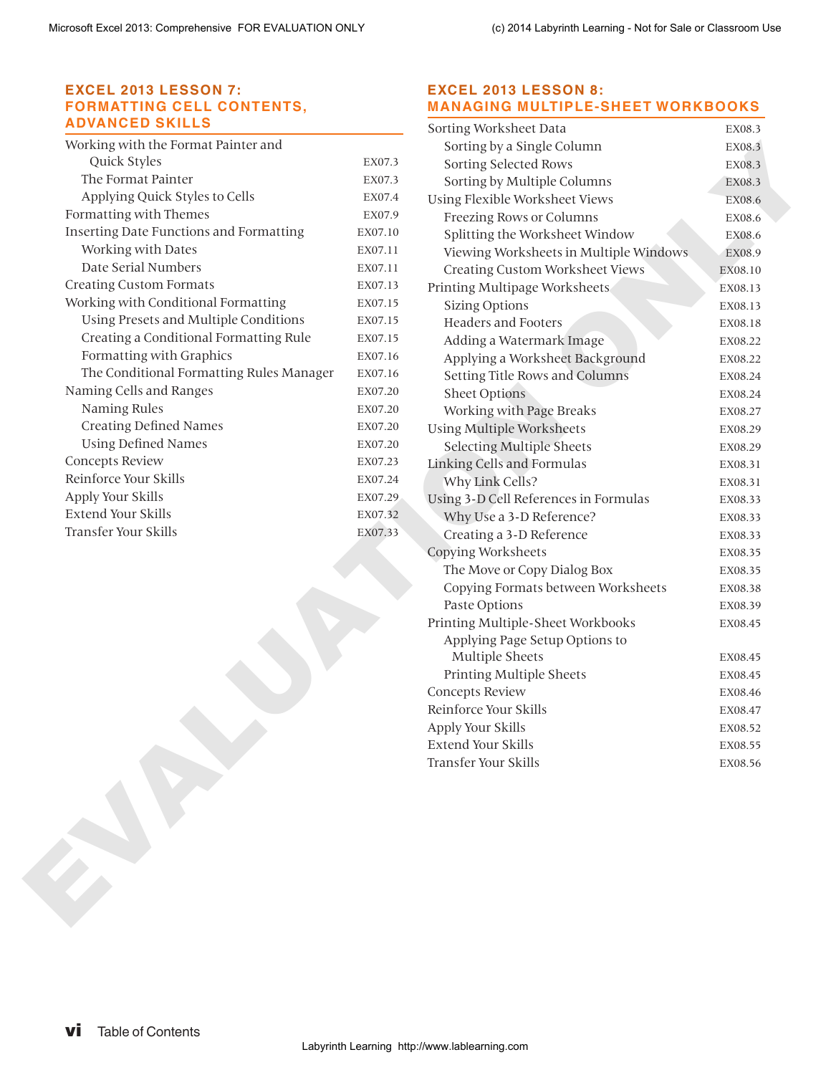#### **EXCEL 2013 LESSON 7: FORMATTING CELL CONTENTS, ADVANCED SKILLS**

| EX07.3  |
|---------|
| EX07.3  |
| EX07.4  |
| EX07.9  |
| EX07.10 |
| EX07.11 |
| EX07.11 |
| EX07.13 |
| EX07.15 |
| EX07.15 |
| EX07.15 |
| EX07.16 |
| EX07.16 |
| EX07.20 |
| EX07.20 |
| EX07.20 |
| EX07.20 |
| EX07.23 |
| EX07.24 |
| EX07.29 |
| EX07.32 |
| EX07.33 |
|         |

#### **EXCEL 2013 LESSON 8: MANAGING MULTIPLE-SHEET WORKBOOKS**

| Working with the Format Painter and<br>Quick Styles<br>The Format Painter<br>Applying Quick Styles to Cells<br>Formatting with Themes<br>Inserting Date Functions and Formatting<br>Working with Dates<br>Date Serial Numbers<br><b>Creating Custom Formats</b><br>Working with Conditional Formatting<br>Using Presets and Multiple Conditions<br>Creating a Conditional Formatting Rule | EX07.3<br>EX07.3<br>EX07.4<br>EX07.9<br>EX07.10<br>EX07.11<br>EX07.11<br>EX07.13<br>EX07.15<br>EX07.15<br>EX07.15<br>EX07.16<br>EX07.16<br>EX07.20<br>EX07.20<br>EX07.20 | Sorting by a Single Column<br>Sorting Selected Rows<br>Sorting by Multiple Columns<br>Using Flexible Worksheet Views<br>Freezing Rows or Columns<br>Splitting the Worksheet Window<br>Viewing Worksheets in Multiple Windows<br>Creating Custom Worksheet Views<br>Printing Multipage Worksheets<br><b>Sizing Options</b><br><b>Headers and Footers</b><br>Adding a Watermark Image<br>Applying a Worksheet Background<br>Setting Title Rows and Columns<br><b>Sheet Options</b> | EX08.3<br>EX08.3<br>EX08.13<br>EX08.13                                                                |
|-------------------------------------------------------------------------------------------------------------------------------------------------------------------------------------------------------------------------------------------------------------------------------------------------------------------------------------------------------------------------------------------|--------------------------------------------------------------------------------------------------------------------------------------------------------------------------|----------------------------------------------------------------------------------------------------------------------------------------------------------------------------------------------------------------------------------------------------------------------------------------------------------------------------------------------------------------------------------------------------------------------------------------------------------------------------------|-------------------------------------------------------------------------------------------------------|
|                                                                                                                                                                                                                                                                                                                                                                                           |                                                                                                                                                                          |                                                                                                                                                                                                                                                                                                                                                                                                                                                                                  | EX08.3<br>EX08.6<br>EX08.6<br>EX08.6<br>EX08.9<br>EX08.10<br>EX08.18<br>EX08.22<br>EX08.22<br>EX08.24 |
|                                                                                                                                                                                                                                                                                                                                                                                           |                                                                                                                                                                          |                                                                                                                                                                                                                                                                                                                                                                                                                                                                                  |                                                                                                       |
|                                                                                                                                                                                                                                                                                                                                                                                           |                                                                                                                                                                          |                                                                                                                                                                                                                                                                                                                                                                                                                                                                                  |                                                                                                       |
|                                                                                                                                                                                                                                                                                                                                                                                           |                                                                                                                                                                          |                                                                                                                                                                                                                                                                                                                                                                                                                                                                                  |                                                                                                       |
|                                                                                                                                                                                                                                                                                                                                                                                           |                                                                                                                                                                          |                                                                                                                                                                                                                                                                                                                                                                                                                                                                                  |                                                                                                       |
|                                                                                                                                                                                                                                                                                                                                                                                           |                                                                                                                                                                          |                                                                                                                                                                                                                                                                                                                                                                                                                                                                                  |                                                                                                       |
|                                                                                                                                                                                                                                                                                                                                                                                           |                                                                                                                                                                          |                                                                                                                                                                                                                                                                                                                                                                                                                                                                                  |                                                                                                       |
|                                                                                                                                                                                                                                                                                                                                                                                           |                                                                                                                                                                          |                                                                                                                                                                                                                                                                                                                                                                                                                                                                                  |                                                                                                       |
|                                                                                                                                                                                                                                                                                                                                                                                           |                                                                                                                                                                          |                                                                                                                                                                                                                                                                                                                                                                                                                                                                                  |                                                                                                       |
|                                                                                                                                                                                                                                                                                                                                                                                           |                                                                                                                                                                          |                                                                                                                                                                                                                                                                                                                                                                                                                                                                                  |                                                                                                       |
|                                                                                                                                                                                                                                                                                                                                                                                           |                                                                                                                                                                          |                                                                                                                                                                                                                                                                                                                                                                                                                                                                                  |                                                                                                       |
|                                                                                                                                                                                                                                                                                                                                                                                           |                                                                                                                                                                          |                                                                                                                                                                                                                                                                                                                                                                                                                                                                                  |                                                                                                       |
| Formatting with Graphics                                                                                                                                                                                                                                                                                                                                                                  |                                                                                                                                                                          |                                                                                                                                                                                                                                                                                                                                                                                                                                                                                  |                                                                                                       |
| The Conditional Formatting Rules Manager                                                                                                                                                                                                                                                                                                                                                  |                                                                                                                                                                          |                                                                                                                                                                                                                                                                                                                                                                                                                                                                                  |                                                                                                       |
| Naming Cells and Ranges                                                                                                                                                                                                                                                                                                                                                                   |                                                                                                                                                                          |                                                                                                                                                                                                                                                                                                                                                                                                                                                                                  | EX08.24                                                                                               |
| Naming Rules                                                                                                                                                                                                                                                                                                                                                                              |                                                                                                                                                                          | Working with Page Breaks                                                                                                                                                                                                                                                                                                                                                                                                                                                         | EX08.27                                                                                               |
| <b>Creating Defined Names</b>                                                                                                                                                                                                                                                                                                                                                             |                                                                                                                                                                          | <b>Using Multiple Worksheets</b>                                                                                                                                                                                                                                                                                                                                                                                                                                                 | EX08.29                                                                                               |
| <b>Using Defined Names</b>                                                                                                                                                                                                                                                                                                                                                                | EX07.20                                                                                                                                                                  | <b>Selecting Multiple Sheets</b>                                                                                                                                                                                                                                                                                                                                                                                                                                                 | EX08.29                                                                                               |
| Concepts Review                                                                                                                                                                                                                                                                                                                                                                           | EX07.23                                                                                                                                                                  | Linking Cells and Formulas                                                                                                                                                                                                                                                                                                                                                                                                                                                       | EX08.31                                                                                               |
| Reinforce Your Skills                                                                                                                                                                                                                                                                                                                                                                     | EX07.24                                                                                                                                                                  | Why Link Cells?                                                                                                                                                                                                                                                                                                                                                                                                                                                                  | EX08.31                                                                                               |
| Apply Your Skills                                                                                                                                                                                                                                                                                                                                                                         | EX07.29                                                                                                                                                                  | Using 3-D Cell References in Formulas                                                                                                                                                                                                                                                                                                                                                                                                                                            | EX08.33                                                                                               |
| Extend Your Skills                                                                                                                                                                                                                                                                                                                                                                        | EX07.32                                                                                                                                                                  | Why Use a 3-D Reference?                                                                                                                                                                                                                                                                                                                                                                                                                                                         | EX08.33                                                                                               |
| Transfer Your Skills                                                                                                                                                                                                                                                                                                                                                                      | EX07.33                                                                                                                                                                  | Creating a 3-D Reference                                                                                                                                                                                                                                                                                                                                                                                                                                                         | EX08.33                                                                                               |
|                                                                                                                                                                                                                                                                                                                                                                                           |                                                                                                                                                                          | Copying Worksheets                                                                                                                                                                                                                                                                                                                                                                                                                                                               | EX08.35                                                                                               |
|                                                                                                                                                                                                                                                                                                                                                                                           |                                                                                                                                                                          | The Move or Copy Dialog Box                                                                                                                                                                                                                                                                                                                                                                                                                                                      | EX08.35                                                                                               |
|                                                                                                                                                                                                                                                                                                                                                                                           |                                                                                                                                                                          | Copying Formats between Worksheets                                                                                                                                                                                                                                                                                                                                                                                                                                               | EX08.38                                                                                               |
|                                                                                                                                                                                                                                                                                                                                                                                           |                                                                                                                                                                          | Paste Options                                                                                                                                                                                                                                                                                                                                                                                                                                                                    | EX08.39                                                                                               |
|                                                                                                                                                                                                                                                                                                                                                                                           |                                                                                                                                                                          | Printing Multiple-Sheet Workbooks                                                                                                                                                                                                                                                                                                                                                                                                                                                | EX08.45                                                                                               |
|                                                                                                                                                                                                                                                                                                                                                                                           |                                                                                                                                                                          | Applying Page Setup Options to                                                                                                                                                                                                                                                                                                                                                                                                                                                   |                                                                                                       |
|                                                                                                                                                                                                                                                                                                                                                                                           |                                                                                                                                                                          | Multiple Sheets                                                                                                                                                                                                                                                                                                                                                                                                                                                                  | EX08.45                                                                                               |
|                                                                                                                                                                                                                                                                                                                                                                                           |                                                                                                                                                                          | Printing Multiple Sheets                                                                                                                                                                                                                                                                                                                                                                                                                                                         | EX08.45                                                                                               |
|                                                                                                                                                                                                                                                                                                                                                                                           |                                                                                                                                                                          | Concepts Review                                                                                                                                                                                                                                                                                                                                                                                                                                                                  | EX08.46                                                                                               |
|                                                                                                                                                                                                                                                                                                                                                                                           |                                                                                                                                                                          | Reinforce Your Skills                                                                                                                                                                                                                                                                                                                                                                                                                                                            | EX08.47                                                                                               |
|                                                                                                                                                                                                                                                                                                                                                                                           |                                                                                                                                                                          | Apply Your Skills                                                                                                                                                                                                                                                                                                                                                                                                                                                                | EX08.52                                                                                               |
|                                                                                                                                                                                                                                                                                                                                                                                           |                                                                                                                                                                          | Extend Your Skills                                                                                                                                                                                                                                                                                                                                                                                                                                                               | EX08.55                                                                                               |
|                                                                                                                                                                                                                                                                                                                                                                                           |                                                                                                                                                                          | Transfer Your Skills                                                                                                                                                                                                                                                                                                                                                                                                                                                             | EX08.56                                                                                               |
|                                                                                                                                                                                                                                                                                                                                                                                           |                                                                                                                                                                          |                                                                                                                                                                                                                                                                                                                                                                                                                                                                                  |                                                                                                       |
|                                                                                                                                                                                                                                                                                                                                                                                           |                                                                                                                                                                          |                                                                                                                                                                                                                                                                                                                                                                                                                                                                                  |                                                                                                       |
|                                                                                                                                                                                                                                                                                                                                                                                           |                                                                                                                                                                          |                                                                                                                                                                                                                                                                                                                                                                                                                                                                                  |                                                                                                       |
|                                                                                                                                                                                                                                                                                                                                                                                           |                                                                                                                                                                          |                                                                                                                                                                                                                                                                                                                                                                                                                                                                                  |                                                                                                       |
|                                                                                                                                                                                                                                                                                                                                                                                           |                                                                                                                                                                          |                                                                                                                                                                                                                                                                                                                                                                                                                                                                                  |                                                                                                       |
| <b>Table of Contents</b>                                                                                                                                                                                                                                                                                                                                                                  |                                                                                                                                                                          | Labyrinth Learning http://www.lablearning.com                                                                                                                                                                                                                                                                                                                                                                                                                                    |                                                                                                       |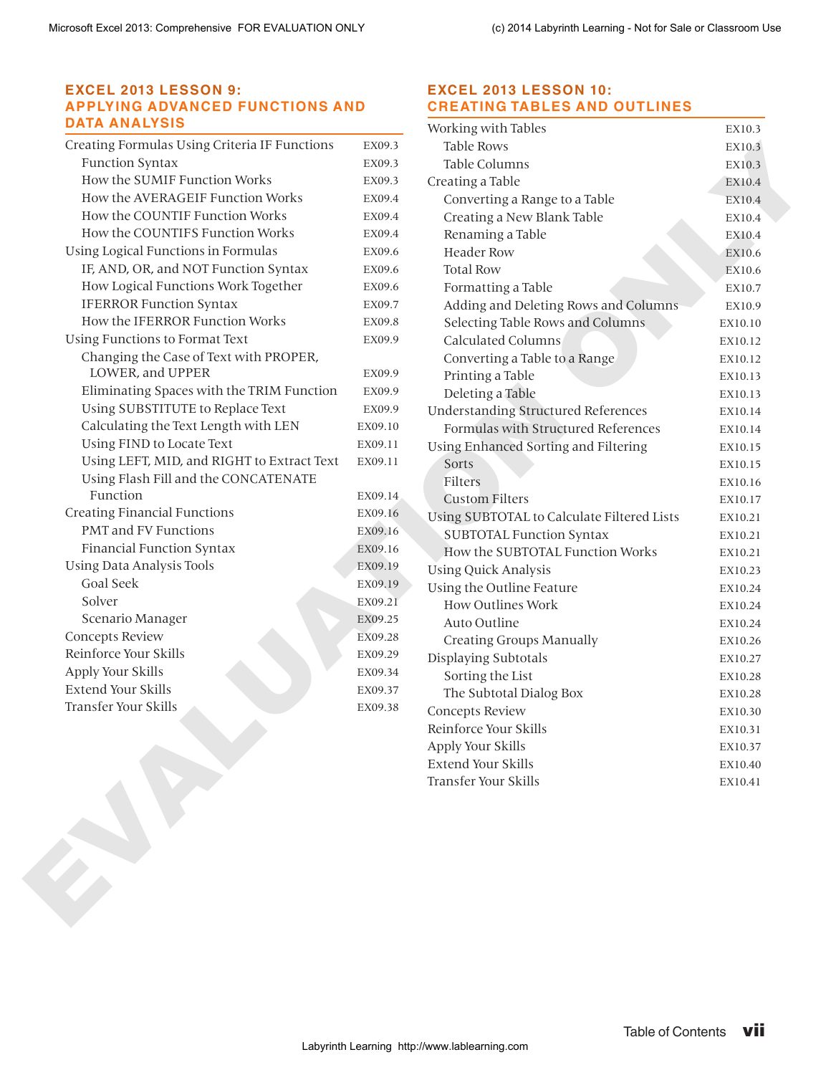#### **EXCEL 2013 LESSON 9: APPLYING ADVANCED FUNCTIONS AND DATA ANALYSIS**

| Creating Formulas Using Criteria IF Functions | EX09.3  |
|-----------------------------------------------|---------|
| <b>Function Syntax</b>                        | EX09.3  |
| How the SUMIF Function Works                  | EX09.3  |
| How the AVERAGEIF Function Works              | EX09.4  |
| How the COUNTIF Function Works                | EX09.4  |
| How the COUNTIFS Function Works               | EX09.4  |
| Using Logical Functions in Formulas           | EX09.6  |
| IF, AND, OR, and NOT Function Syntax          | EX09.6  |
| How Logical Functions Work Together           | EX09.6  |
| <b>IFERROR Function Syntax</b>                | EX09.7  |
| How the IFERROR Function Works                | EX09.8  |
| Using Functions to Format Text                | EX09.9  |
| Changing the Case of Text with PROPER,        |         |
| LOWER, and UPPER                              | EX09.9  |
| Eliminating Spaces with the TRIM Function     | EX09.9  |
| Using SUBSTITUTE to Replace Text              | EX09.9  |
| Calculating the Text Length with LEN          | EX09.10 |
| Using FIND to Locate Text                     | EX09.11 |
| Using LEFT, MID, and RIGHT to Extract Text    | EX09.11 |
| Using Flash Fill and the CONCATENATE          |         |
| Function                                      | EX09.14 |
| <b>Creating Financial Functions</b>           | EX09.16 |
| <b>PMT</b> and FV Functions                   | EX09.16 |
| <b>Financial Function Syntax</b>              | EX09.16 |
| Using Data Analysis Tools                     | EX09.19 |
| <b>Goal Seek</b>                              | EX09.19 |
| Solver                                        | EX09.21 |
| Scenario Manager                              | EX09.25 |
| <b>Concepts Review</b>                        | EX09.28 |
| Reinforce Your Skills                         | EX09.29 |
| Apply Your Skills                             | EX09.34 |
| <b>Extend Your Skills</b>                     | EX09.37 |
| Transfer Your Skills                          | EX09.38 |
|                                               |         |

#### **EXCEL 2013 LESSON 10: CREATING TABLES AND OUTLINES**

| <b>DATA ANALYSIS</b>                          |         | Working with Tables                                                       | EX10.3  |
|-----------------------------------------------|---------|---------------------------------------------------------------------------|---------|
| Creating Formulas Using Criteria IF Functions | EX09.3  | Table Rows                                                                | EX10.3  |
| <b>Function Syntax</b>                        | EX09.3  | Table Columns                                                             | EX10.3  |
| How the SUMIF Function Works                  | EX09.3  | Creating a Table                                                          | EX10.4  |
| How the AVERAGEIF Function Works              | EX09.4  | Converting a Range to a Table                                             | EX10.4  |
| How the COUNTIF Function Works                | EX09.4  | Creating a New Blank Table                                                | EX10.4  |
| How the COUNTIFS Function Works               | EX09.4  | Renaming a Table                                                          | EX10.4  |
| Using Logical Functions in Formulas           | EX09.6  | <b>Header Row</b>                                                         | EX10.6  |
| IF, AND, OR, and NOT Function Syntax          | EX09.6  | <b>Total Row</b>                                                          | EX10.6  |
| How Logical Functions Work Together           | EX09.6  | Formatting a Table                                                        | EX10.7  |
| <b>IFERROR Function Syntax</b>                | EX09.7  | Adding and Deleting Rows and Columns                                      | EX10.9  |
| How the IFERROR Function Works                | EX09.8  | Selecting Table Rows and Columns                                          | EX10.10 |
| Using Functions to Format Text                | EX09.9  | <b>Calculated Columns</b>                                                 | EX10.12 |
| Changing the Case of Text with PROPER,        |         | Converting a Table to a Range                                             | EX10.12 |
| LOWER, and UPPER                              | EX09.9  | Printing a Table                                                          | EX10.13 |
| Eliminating Spaces with the TRIM Function     | EX09.9  | Deleting a Table                                                          | EX10.13 |
| Using SUBSTITUTE to Replace Text              | EX09.9  | <b>Understanding Structured References</b>                                | EX10.14 |
| Calculating the Text Length with LEN          | EX09.10 | Formulas with Structured References                                       | EX10.14 |
| Using FIND to Locate Text                     | EX09.11 | Using Enhanced Sorting and Filtering                                      | EX10.15 |
| Using LEFT, MID, and RIGHT to Extract Text    | EX09.11 | Sorts                                                                     | EX10.15 |
| Using Flash Fill and the CONCATENATE          |         | Filters                                                                   | EX10.16 |
| Function                                      | EX09.14 | <b>Custom Filters</b>                                                     | EX10.17 |
| <b>Creating Financial Functions</b>           | EX09.16 | Using SUBTOTAL to Calculate Filtered Lists                                | EX10.21 |
| PMT and FV Functions                          | EX09.16 | <b>SUBTOTAL Function Syntax</b>                                           | EX10.21 |
| <b>Financial Function Syntax</b>              | EX09.16 | How the SUBTOTAL Function Works                                           | EX10.21 |
| Using Data Analysis Tools                     | EX09.19 | <b>Using Quick Analysis</b>                                               | EX10.23 |
| Goal Seek                                     | EX09.19 | Using the Outline Feature                                                 | EX10.24 |
| Solver                                        | EX09.21 | <b>How Outlines Work</b>                                                  | EX10.24 |
| Scenario Manager                              | EX09.25 | Auto Outline                                                              | EX10.24 |
| Concepts Review                               | EX09.28 | <b>Creating Groups Manually</b>                                           | EX10.26 |
| Reinforce Your Skills                         | EX09.29 | Displaying Subtotals                                                      | EX10.27 |
| Apply Your Skills                             | EX09.34 | Sorting the List                                                          | EX10.28 |
| Extend Your Skills                            | EX09.37 | The Subtotal Dialog Box                                                   | EX10.28 |
| Transfer Your Skills                          | EX09.38 | <b>Concepts Review</b>                                                    | EX10.30 |
|                                               |         | Reinforce Your Skills                                                     | EX10.31 |
|                                               |         | Apply Your Skills                                                         | EX10.37 |
|                                               |         | <b>Extend Your Skills</b>                                                 | EX10.40 |
|                                               |         | Transfer Your Skills                                                      | EX10.41 |
|                                               |         |                                                                           |         |
|                                               |         |                                                                           |         |
|                                               |         | <b>Table of Contents</b><br>Labyrinth Learning http://www.lablearning.com | vii     |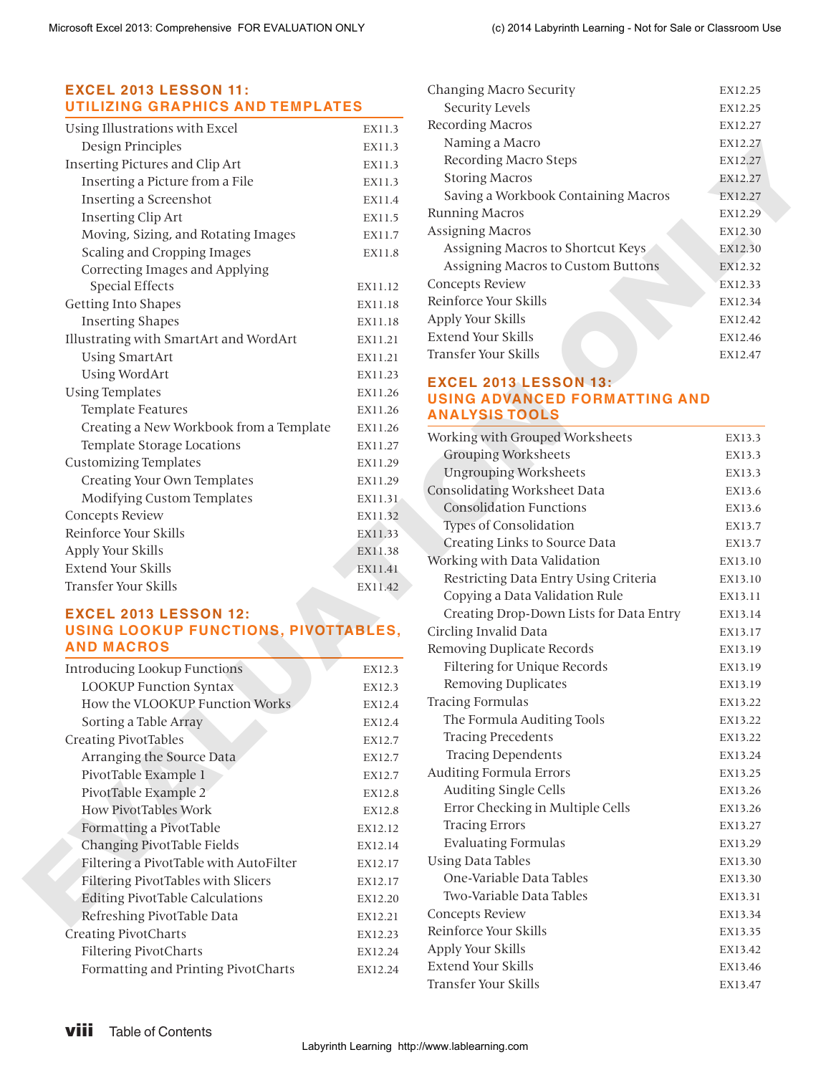# **EXCEL 2013 LESSON 11: UTILIZING GRAPHICS AND TEMPLATES**

| Using Illustrations with Excel          | EX11.3  |
|-----------------------------------------|---------|
| Design Principles                       | EX11.3  |
| Inserting Pictures and Clip Art         | EX11.3  |
| Inserting a Picture from a File         | EX11.3  |
| Inserting a Screenshot                  | EX11.4  |
| <b>Inserting Clip Art</b>               | EX11.5  |
| Moving, Sizing, and Rotating Images     | EX11.7  |
| Scaling and Cropping Images             | EX11.8  |
| Correcting Images and Applying          |         |
| <b>Special Effects</b>                  | EX11.12 |
| Getting Into Shapes                     | EX11.18 |
| <b>Inserting Shapes</b>                 | EX11.18 |
| Illustrating with SmartArt and WordArt  | EX11.21 |
| <b>Using SmartArt</b>                   | EX11.21 |
| <b>Using WordArt</b>                    | EX11.23 |
| <b>Using Templates</b>                  | EX11.26 |
| Template Features                       | EX11.26 |
| Creating a New Workbook from a Template | EX11.26 |
| Template Storage Locations              | EX11.27 |
| <b>Customizing Templates</b>            | EX11.29 |
| Creating Your Own Templates             | EX11.29 |
| Modifying Custom Templates              | EX11.31 |
| <b>Concepts Review</b>                  | EX11.32 |
| Reinforce Your Skills                   | EX11.33 |
| Apply Your Skills                       | EX11.38 |
| Extend Your Skills                      | EX11.41 |
| Transfer Your Skills                    | EX11.42 |

#### **EXCEL 2013 LESSON 12: USING LOOKUP FUNCTIONS, PIVOTTABLES, AND MACROS**

| <b>Introducing Lookup Functions</b>    | EX12.3  |
|----------------------------------------|---------|
| <b>LOOKUP Function Syntax</b>          | EX12.3  |
| How the VLOOKUP Function Works         | EX12.4  |
| Sorting a Table Array                  | EX12.4  |
| Creating PivotTables                   | EX12.7  |
| Arranging the Source Data              | EX12.7  |
| PivotTable Example 1                   | EX12.7  |
| PivotTable Example 2                   | EX12.8  |
| <b>How PivotTables Work</b>            | EX12.8  |
| Formatting a PivotTable                | EX12.12 |
| Changing PivotTable Fields             | EX12.14 |
| Filtering a PivotTable with AutoFilter | EX12.17 |
| Filtering PivotTables with Slicers     | EX12.17 |
| <b>Editing PivotTable Calculations</b> | EX12.20 |
| Refreshing PivotTable Data             | EX12.21 |
| Creating PivotCharts                   | EX12.23 |
| <b>Filtering PivotCharts</b>           | EX12.24 |
| Formatting and Printing Pivot Charts   | EX12.24 |

| Changing Macro Security             | EX12.25 |
|-------------------------------------|---------|
| Security Levels                     | EX12.25 |
| Recording Macros                    | EX12.27 |
| Naming a Macro                      | EX12.27 |
| Recording Macro Steps               | EX12.27 |
| <b>Storing Macros</b>               | EX12.27 |
| Saving a Workbook Containing Macros | EX12.27 |
| <b>Running Macros</b>               | EX12.29 |
| Assigning Macros                    | EX12.30 |
| Assigning Macros to Shortcut Keys   | EX12.30 |
| Assigning Macros to Custom Buttons  | EX12.32 |
| Concepts Review                     | EX12.33 |
| Reinforce Your Skills               | EX12.34 |
| Apply Your Skills                   | EX12.42 |
| Extend Your Skills                  | EX12.46 |
| Transfer Your Skills                | EX12.47 |

#### **EXCEL 2013 LESSON 13: USING ADVANCED FORMATTING AND ANALYSIS TOOLS**

| Recording Macro Steps<br>EX12.27<br>EX11.3<br><b>Storing Macros</b><br>EX12.27<br>EX11.3<br>Saving a Workbook Containing Macros<br>EX12.27<br>EX11.4<br><b>Running Macros</b><br>EX12.29<br>EX11.5<br><b>Assigning Macros</b><br>EX12.30<br>EX11.7<br>Assigning Macros to Shortcut Keys<br>EX12.30<br>EX11.8<br>Assigning Macros to Custom Buttons<br>EX12.32<br>Concepts Review<br>EX12.33<br>EX11.12<br>Reinforce Your Skills<br>EX12.34<br>EX11.18<br>Apply Your Skills<br>EX12.42<br>EX11.18<br>Extend Your Skills<br>EX12.46<br>EX11.21<br>Transfer Your Skills<br>EX12.47<br>EX11.21<br>EX11.23<br><b>EXCEL 2013 LESSON 13:</b><br>EX11.26<br><b>USING ADVANCED FORMATTING AND</b><br>EX11.26<br><b>ANALYSIS TOOLS</b><br>EX11.26<br>Working with Grouped Worksheets<br>EX13.3<br>EX11.27<br><b>Grouping Worksheets</b><br>EX13.3<br>EX11.29<br><b>Ungrouping Worksheets</b><br>EX13.3<br>EX11.29<br>Consolidating Worksheet Data<br>EX13.6 |
|---------------------------------------------------------------------------------------------------------------------------------------------------------------------------------------------------------------------------------------------------------------------------------------------------------------------------------------------------------------------------------------------------------------------------------------------------------------------------------------------------------------------------------------------------------------------------------------------------------------------------------------------------------------------------------------------------------------------------------------------------------------------------------------------------------------------------------------------------------------------------------------------------------------------------------------------------|
|                                                                                                                                                                                                                                                                                                                                                                                                                                                                                                                                                                                                                                                                                                                                                                                                                                                                                                                                                   |
|                                                                                                                                                                                                                                                                                                                                                                                                                                                                                                                                                                                                                                                                                                                                                                                                                                                                                                                                                   |
|                                                                                                                                                                                                                                                                                                                                                                                                                                                                                                                                                                                                                                                                                                                                                                                                                                                                                                                                                   |
|                                                                                                                                                                                                                                                                                                                                                                                                                                                                                                                                                                                                                                                                                                                                                                                                                                                                                                                                                   |
|                                                                                                                                                                                                                                                                                                                                                                                                                                                                                                                                                                                                                                                                                                                                                                                                                                                                                                                                                   |
|                                                                                                                                                                                                                                                                                                                                                                                                                                                                                                                                                                                                                                                                                                                                                                                                                                                                                                                                                   |
|                                                                                                                                                                                                                                                                                                                                                                                                                                                                                                                                                                                                                                                                                                                                                                                                                                                                                                                                                   |
|                                                                                                                                                                                                                                                                                                                                                                                                                                                                                                                                                                                                                                                                                                                                                                                                                                                                                                                                                   |
|                                                                                                                                                                                                                                                                                                                                                                                                                                                                                                                                                                                                                                                                                                                                                                                                                                                                                                                                                   |
|                                                                                                                                                                                                                                                                                                                                                                                                                                                                                                                                                                                                                                                                                                                                                                                                                                                                                                                                                   |
|                                                                                                                                                                                                                                                                                                                                                                                                                                                                                                                                                                                                                                                                                                                                                                                                                                                                                                                                                   |
|                                                                                                                                                                                                                                                                                                                                                                                                                                                                                                                                                                                                                                                                                                                                                                                                                                                                                                                                                   |
|                                                                                                                                                                                                                                                                                                                                                                                                                                                                                                                                                                                                                                                                                                                                                                                                                                                                                                                                                   |
|                                                                                                                                                                                                                                                                                                                                                                                                                                                                                                                                                                                                                                                                                                                                                                                                                                                                                                                                                   |
|                                                                                                                                                                                                                                                                                                                                                                                                                                                                                                                                                                                                                                                                                                                                                                                                                                                                                                                                                   |
|                                                                                                                                                                                                                                                                                                                                                                                                                                                                                                                                                                                                                                                                                                                                                                                                                                                                                                                                                   |
|                                                                                                                                                                                                                                                                                                                                                                                                                                                                                                                                                                                                                                                                                                                                                                                                                                                                                                                                                   |
|                                                                                                                                                                                                                                                                                                                                                                                                                                                                                                                                                                                                                                                                                                                                                                                                                                                                                                                                                   |
|                                                                                                                                                                                                                                                                                                                                                                                                                                                                                                                                                                                                                                                                                                                                                                                                                                                                                                                                                   |
| EX11.31                                                                                                                                                                                                                                                                                                                                                                                                                                                                                                                                                                                                                                                                                                                                                                                                                                                                                                                                           |
| <b>Consolidation Functions</b><br>EX13.6<br>EX11.32                                                                                                                                                                                                                                                                                                                                                                                                                                                                                                                                                                                                                                                                                                                                                                                                                                                                                               |
| Types of Consolidation<br>EX13.7<br>EX11.33                                                                                                                                                                                                                                                                                                                                                                                                                                                                                                                                                                                                                                                                                                                                                                                                                                                                                                       |
| Creating Links to Source Data<br>EX13.7<br>EX11.38                                                                                                                                                                                                                                                                                                                                                                                                                                                                                                                                                                                                                                                                                                                                                                                                                                                                                                |
| Working with Data Validation<br>EX13.10<br>EX11.41                                                                                                                                                                                                                                                                                                                                                                                                                                                                                                                                                                                                                                                                                                                                                                                                                                                                                                |
| Restricting Data Entry Using Criteria<br>EX13.10<br>EX11.42                                                                                                                                                                                                                                                                                                                                                                                                                                                                                                                                                                                                                                                                                                                                                                                                                                                                                       |
| Copying a Data Validation Rule<br>EX13.11                                                                                                                                                                                                                                                                                                                                                                                                                                                                                                                                                                                                                                                                                                                                                                                                                                                                                                         |
| Creating Drop-Down Lists for Data Entry<br>EX13.14                                                                                                                                                                                                                                                                                                                                                                                                                                                                                                                                                                                                                                                                                                                                                                                                                                                                                                |
| USING LOOKUP FUNCTIONS, PIVOTTABLES,<br>Circling Invalid Data<br>EX13.17                                                                                                                                                                                                                                                                                                                                                                                                                                                                                                                                                                                                                                                                                                                                                                                                                                                                          |
| Removing Duplicate Records<br>EX13.19                                                                                                                                                                                                                                                                                                                                                                                                                                                                                                                                                                                                                                                                                                                                                                                                                                                                                                             |
| Filtering for Unique Records<br>EX13.19<br>EX12.3                                                                                                                                                                                                                                                                                                                                                                                                                                                                                                                                                                                                                                                                                                                                                                                                                                                                                                 |
| <b>Removing Duplicates</b><br>EX13.19<br>EX12.3                                                                                                                                                                                                                                                                                                                                                                                                                                                                                                                                                                                                                                                                                                                                                                                                                                                                                                   |
| <b>Tracing Formulas</b><br>EX13.22<br>EX12.4                                                                                                                                                                                                                                                                                                                                                                                                                                                                                                                                                                                                                                                                                                                                                                                                                                                                                                      |
| The Formula Auditing Tools<br>EX13.22<br>EX12.4                                                                                                                                                                                                                                                                                                                                                                                                                                                                                                                                                                                                                                                                                                                                                                                                                                                                                                   |
| <b>Tracing Precedents</b><br>EX13.22<br>EX12.7                                                                                                                                                                                                                                                                                                                                                                                                                                                                                                                                                                                                                                                                                                                                                                                                                                                                                                    |
| <b>Tracing Dependents</b><br>EX13.24<br>EX12.7                                                                                                                                                                                                                                                                                                                                                                                                                                                                                                                                                                                                                                                                                                                                                                                                                                                                                                    |
| Auditing Formula Errors<br>EX13.25<br>EX12.7                                                                                                                                                                                                                                                                                                                                                                                                                                                                                                                                                                                                                                                                                                                                                                                                                                                                                                      |
| Auditing Single Cells<br>EX13.26<br>EX12.8                                                                                                                                                                                                                                                                                                                                                                                                                                                                                                                                                                                                                                                                                                                                                                                                                                                                                                        |
| Error Checking in Multiple Cells<br>EX13.26<br>EX12.8                                                                                                                                                                                                                                                                                                                                                                                                                                                                                                                                                                                                                                                                                                                                                                                                                                                                                             |
| <b>Tracing Errors</b><br>EX13.27<br>EX12.12                                                                                                                                                                                                                                                                                                                                                                                                                                                                                                                                                                                                                                                                                                                                                                                                                                                                                                       |
| <b>Evaluating Formulas</b><br>EX13.29<br>EX12.14                                                                                                                                                                                                                                                                                                                                                                                                                                                                                                                                                                                                                                                                                                                                                                                                                                                                                                  |
| <b>Using Data Tables</b><br>EX13.30<br>EX12.17                                                                                                                                                                                                                                                                                                                                                                                                                                                                                                                                                                                                                                                                                                                                                                                                                                                                                                    |
|                                                                                                                                                                                                                                                                                                                                                                                                                                                                                                                                                                                                                                                                                                                                                                                                                                                                                                                                                   |
| One-Variable Data Tables<br>EX13.30<br>EX12.17                                                                                                                                                                                                                                                                                                                                                                                                                                                                                                                                                                                                                                                                                                                                                                                                                                                                                                    |
| Two-Variable Data Tables<br>EX13.31<br>EX12.20                                                                                                                                                                                                                                                                                                                                                                                                                                                                                                                                                                                                                                                                                                                                                                                                                                                                                                    |
| Concepts Review<br>EX13.34<br>EX12.21                                                                                                                                                                                                                                                                                                                                                                                                                                                                                                                                                                                                                                                                                                                                                                                                                                                                                                             |
| Reinforce Your Skills<br>EX13.35                                                                                                                                                                                                                                                                                                                                                                                                                                                                                                                                                                                                                                                                                                                                                                                                                                                                                                                  |
| EX12.23<br>Apply Your Skills<br>EX13.42<br>EX12.24                                                                                                                                                                                                                                                                                                                                                                                                                                                                                                                                                                                                                                                                                                                                                                                                                                                                                                |
| Extend Your Skills<br>EX13.46<br>EX12.24                                                                                                                                                                                                                                                                                                                                                                                                                                                                                                                                                                                                                                                                                                                                                                                                                                                                                                          |
|                                                                                                                                                                                                                                                                                                                                                                                                                                                                                                                                                                                                                                                                                                                                                                                                                                                                                                                                                   |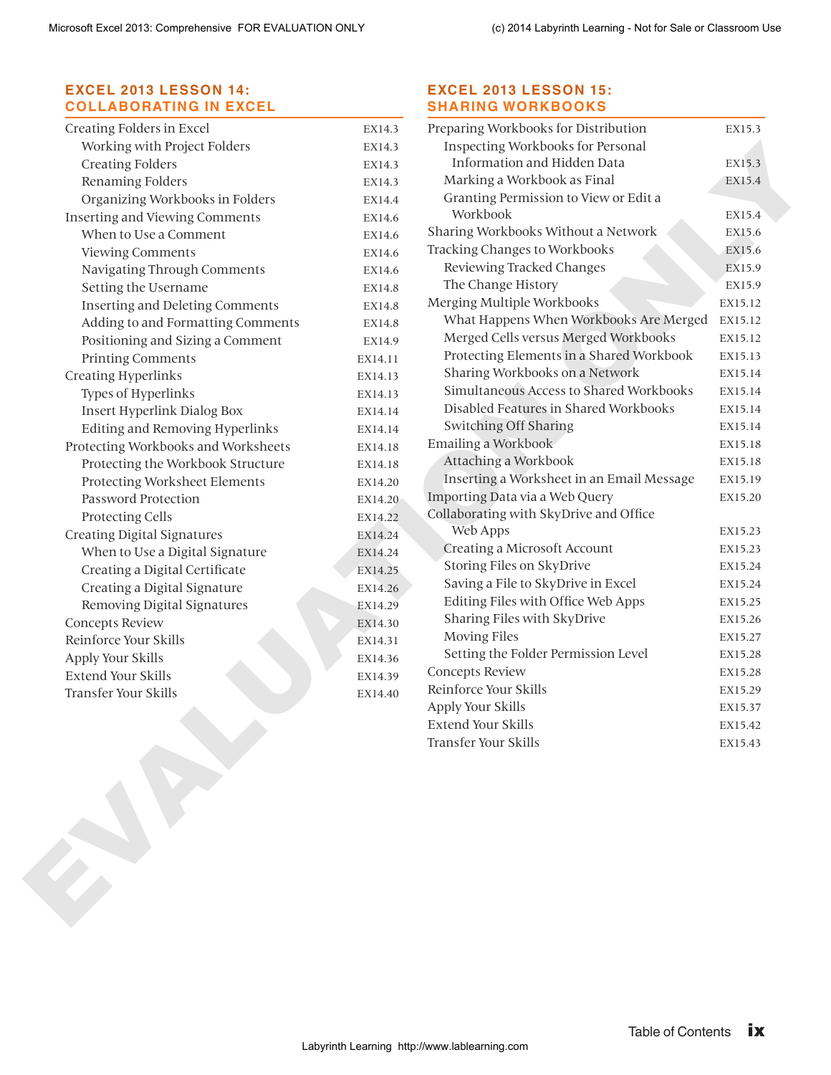# **EXCEL 2013 LESSON 14: COLLABORATING IN EXCEL**

| Creating Folders in Excel              | EX14.3  |
|----------------------------------------|---------|
| Working with Project Folders           | EX14.3  |
| <b>Creating Folders</b>                | EX14.3  |
| Renaming Folders                       | EX14.3  |
| Organizing Workbooks in Folders        | EX14.4  |
| <b>Inserting and Viewing Comments</b>  | EX14.6  |
| When to Use a Comment                  | EX14.6  |
| Viewing Comments                       | EX14.6  |
| Navigating Through Comments            | EX14.6  |
| Setting the Username                   | EX14.8  |
| <b>Inserting and Deleting Comments</b> | EX14.8  |
| Adding to and Formatting Comments      | EX14.8  |
| Positioning and Sizing a Comment       | EX14.9  |
| <b>Printing Comments</b>               | EX14.11 |
| <b>Creating Hyperlinks</b>             | EX14.13 |
| Types of Hyperlinks                    | EX14.13 |
| Insert Hyperlink Dialog Box            | EX14.14 |
| Editing and Removing Hyperlinks        | EX14.14 |
| Protecting Workbooks and Worksheets    | EX14.18 |
| Protecting the Workbook Structure      | EX14.18 |
| Protecting Worksheet Elements          | EX14.20 |
| Password Protection                    | EX14.20 |
| Protecting Cells                       | EX14.22 |
| <b>Creating Digital Signatures</b>     | EX14.24 |
| When to Use a Digital Signature        | EX14.24 |
| Creating a Digital Certificate         | EX14.25 |
| Creating a Digital Signature           | EX14.26 |
| Removing Digital Signatures            | EX14.29 |
| Concepts Review                        | EX14.30 |
| Reinforce Your Skills                  | EX14.31 |
| Apply Your Skills                      | EX14.36 |
| <b>Extend Your Skills</b>              | EX14.39 |
| Transfer Your Skills                   | EX14.40 |
|                                        |         |

#### **EXCEL 2013 LESSON 15: SHARING WORKBOOKS**

| Working with Project Folders<br><b>Creating Folders</b><br>Renaming Folders<br>Organizing Workbooks in Folders<br>When to Use a Comment<br>Viewing Comments<br>Navigating Through Comments<br>Setting the Username<br>Inserting and Deleting Comments<br>Adding to and Formatting Comments<br>Positioning and Sizing a Comment<br>Printing Comments<br>Types of Hyperlinks | EX14.3<br>EX14.3<br>EX14.3<br>EX14.4<br>EX14.6<br>EX14.6<br>EX14.6<br>EX14.6<br>EX14.8<br>EX14.8<br>EX14.8<br>EX14.9<br>EX14.11<br>EX14.13<br>EX14.13<br>EX14.14<br>EX14.14 | Inspecting Workbooks for Personal<br>Information and Hidden Data<br>Marking a Workbook as Final<br>Granting Permission to View or Edit a<br>Workbook<br>Sharing Workbooks Without a Network<br>Tracking Changes to Workbooks<br>Reviewing Tracked Changes<br>The Change History<br>Merging Multiple Workbooks<br>What Happens When Workbooks Are Merged<br>Merged Cells versus Merged Workbooks<br>Protecting Elements in a Shared Workbook<br>Sharing Workbooks on a Network<br>Simultaneous Access to Shared Workbooks<br>Disabled Features in Shared Workbooks | EX15.3<br>EX15.4<br>EX15.4<br>EX15.6<br>EX15.6<br>EX15.9<br>EX15.9<br>EX15.12<br>EX15.12<br>EX15.12<br>EX15.13<br>EX15.14<br>EX15.14 |
|----------------------------------------------------------------------------------------------------------------------------------------------------------------------------------------------------------------------------------------------------------------------------------------------------------------------------------------------------------------------------|-----------------------------------------------------------------------------------------------------------------------------------------------------------------------------|-------------------------------------------------------------------------------------------------------------------------------------------------------------------------------------------------------------------------------------------------------------------------------------------------------------------------------------------------------------------------------------------------------------------------------------------------------------------------------------------------------------------------------------------------------------------|--------------------------------------------------------------------------------------------------------------------------------------|
|                                                                                                                                                                                                                                                                                                                                                                            |                                                                                                                                                                             |                                                                                                                                                                                                                                                                                                                                                                                                                                                                                                                                                                   |                                                                                                                                      |
|                                                                                                                                                                                                                                                                                                                                                                            |                                                                                                                                                                             |                                                                                                                                                                                                                                                                                                                                                                                                                                                                                                                                                                   |                                                                                                                                      |
|                                                                                                                                                                                                                                                                                                                                                                            |                                                                                                                                                                             |                                                                                                                                                                                                                                                                                                                                                                                                                                                                                                                                                                   |                                                                                                                                      |
| Inserting and Viewing Comments<br>Creating Hyperlinks                                                                                                                                                                                                                                                                                                                      |                                                                                                                                                                             |                                                                                                                                                                                                                                                                                                                                                                                                                                                                                                                                                                   |                                                                                                                                      |
|                                                                                                                                                                                                                                                                                                                                                                            |                                                                                                                                                                             |                                                                                                                                                                                                                                                                                                                                                                                                                                                                                                                                                                   |                                                                                                                                      |
|                                                                                                                                                                                                                                                                                                                                                                            |                                                                                                                                                                             |                                                                                                                                                                                                                                                                                                                                                                                                                                                                                                                                                                   |                                                                                                                                      |
|                                                                                                                                                                                                                                                                                                                                                                            |                                                                                                                                                                             |                                                                                                                                                                                                                                                                                                                                                                                                                                                                                                                                                                   |                                                                                                                                      |
|                                                                                                                                                                                                                                                                                                                                                                            |                                                                                                                                                                             |                                                                                                                                                                                                                                                                                                                                                                                                                                                                                                                                                                   |                                                                                                                                      |
|                                                                                                                                                                                                                                                                                                                                                                            |                                                                                                                                                                             |                                                                                                                                                                                                                                                                                                                                                                                                                                                                                                                                                                   |                                                                                                                                      |
|                                                                                                                                                                                                                                                                                                                                                                            |                                                                                                                                                                             |                                                                                                                                                                                                                                                                                                                                                                                                                                                                                                                                                                   |                                                                                                                                      |
|                                                                                                                                                                                                                                                                                                                                                                            |                                                                                                                                                                             |                                                                                                                                                                                                                                                                                                                                                                                                                                                                                                                                                                   |                                                                                                                                      |
|                                                                                                                                                                                                                                                                                                                                                                            |                                                                                                                                                                             |                                                                                                                                                                                                                                                                                                                                                                                                                                                                                                                                                                   |                                                                                                                                      |
|                                                                                                                                                                                                                                                                                                                                                                            |                                                                                                                                                                             |                                                                                                                                                                                                                                                                                                                                                                                                                                                                                                                                                                   |                                                                                                                                      |
|                                                                                                                                                                                                                                                                                                                                                                            |                                                                                                                                                                             |                                                                                                                                                                                                                                                                                                                                                                                                                                                                                                                                                                   |                                                                                                                                      |
|                                                                                                                                                                                                                                                                                                                                                                            |                                                                                                                                                                             |                                                                                                                                                                                                                                                                                                                                                                                                                                                                                                                                                                   |                                                                                                                                      |
| Insert Hyperlink Dialog Box                                                                                                                                                                                                                                                                                                                                                |                                                                                                                                                                             |                                                                                                                                                                                                                                                                                                                                                                                                                                                                                                                                                                   | EX15.14                                                                                                                              |
| Editing and Removing Hyperlinks                                                                                                                                                                                                                                                                                                                                            |                                                                                                                                                                             | Switching Off Sharing                                                                                                                                                                                                                                                                                                                                                                                                                                                                                                                                             | EX15.14                                                                                                                              |
| Protecting Workbooks and Worksheets                                                                                                                                                                                                                                                                                                                                        | EX14.18                                                                                                                                                                     | Emailing a Workbook                                                                                                                                                                                                                                                                                                                                                                                                                                                                                                                                               | EX15.18                                                                                                                              |
| Protecting the Workbook Structure                                                                                                                                                                                                                                                                                                                                          | EX14.18                                                                                                                                                                     | Attaching a Workbook                                                                                                                                                                                                                                                                                                                                                                                                                                                                                                                                              | EX15.18                                                                                                                              |
| Protecting Worksheet Elements                                                                                                                                                                                                                                                                                                                                              | EX14.20                                                                                                                                                                     | Inserting a Worksheet in an Email Message                                                                                                                                                                                                                                                                                                                                                                                                                                                                                                                         | EX15.19                                                                                                                              |
| Password Protection                                                                                                                                                                                                                                                                                                                                                        | EX14.20                                                                                                                                                                     | Importing Data via a Web Query                                                                                                                                                                                                                                                                                                                                                                                                                                                                                                                                    | EX15.20                                                                                                                              |
| Protecting Cells                                                                                                                                                                                                                                                                                                                                                           | EX14.22                                                                                                                                                                     | Collaborating with SkyDrive and Office                                                                                                                                                                                                                                                                                                                                                                                                                                                                                                                            |                                                                                                                                      |
| <b>Creating Digital Signatures</b>                                                                                                                                                                                                                                                                                                                                         | EX14.24                                                                                                                                                                     | Web Apps                                                                                                                                                                                                                                                                                                                                                                                                                                                                                                                                                          | EX15.23                                                                                                                              |
| When to Use a Digital Signature                                                                                                                                                                                                                                                                                                                                            | EX14.24                                                                                                                                                                     | Creating a Microsoft Account                                                                                                                                                                                                                                                                                                                                                                                                                                                                                                                                      | EX15.23                                                                                                                              |
| Creating a Digital Certificate                                                                                                                                                                                                                                                                                                                                             | EX14.25                                                                                                                                                                     | Storing Files on SkyDrive                                                                                                                                                                                                                                                                                                                                                                                                                                                                                                                                         | EX15.24                                                                                                                              |
| Creating a Digital Signature                                                                                                                                                                                                                                                                                                                                               | EX14.26                                                                                                                                                                     | Saving a File to SkyDrive in Excel                                                                                                                                                                                                                                                                                                                                                                                                                                                                                                                                | EX15.24                                                                                                                              |
| Removing Digital Signatures                                                                                                                                                                                                                                                                                                                                                | EX14.29                                                                                                                                                                     | Editing Files with Office Web Apps                                                                                                                                                                                                                                                                                                                                                                                                                                                                                                                                | EX15.25                                                                                                                              |
| Concepts Review                                                                                                                                                                                                                                                                                                                                                            | EX14.30                                                                                                                                                                     | Sharing Files with SkyDrive                                                                                                                                                                                                                                                                                                                                                                                                                                                                                                                                       | EX15.26                                                                                                                              |
| Reinforce Your Skills                                                                                                                                                                                                                                                                                                                                                      | EX14.31                                                                                                                                                                     | <b>Moving Files</b>                                                                                                                                                                                                                                                                                                                                                                                                                                                                                                                                               | EX15.27                                                                                                                              |
| Apply Your Skills                                                                                                                                                                                                                                                                                                                                                          | EX14.36                                                                                                                                                                     | Setting the Folder Permission Level                                                                                                                                                                                                                                                                                                                                                                                                                                                                                                                               | EX15.28                                                                                                                              |
| <b>Extend Your Skills</b>                                                                                                                                                                                                                                                                                                                                                  | EX14.39                                                                                                                                                                     | Concepts Review                                                                                                                                                                                                                                                                                                                                                                                                                                                                                                                                                   | EX15.28                                                                                                                              |
| Transfer Your Skills                                                                                                                                                                                                                                                                                                                                                       | EX14.40                                                                                                                                                                     | Reinforce Your Skills                                                                                                                                                                                                                                                                                                                                                                                                                                                                                                                                             | EX15.29                                                                                                                              |
|                                                                                                                                                                                                                                                                                                                                                                            |                                                                                                                                                                             | Apply Your Skills                                                                                                                                                                                                                                                                                                                                                                                                                                                                                                                                                 | EX15.37                                                                                                                              |
|                                                                                                                                                                                                                                                                                                                                                                            |                                                                                                                                                                             | Extend Your Skills                                                                                                                                                                                                                                                                                                                                                                                                                                                                                                                                                | EX15.42                                                                                                                              |
|                                                                                                                                                                                                                                                                                                                                                                            |                                                                                                                                                                             | Transfer Your Skills                                                                                                                                                                                                                                                                                                                                                                                                                                                                                                                                              | EX15.43                                                                                                                              |
|                                                                                                                                                                                                                                                                                                                                                                            |                                                                                                                                                                             |                                                                                                                                                                                                                                                                                                                                                                                                                                                                                                                                                                   |                                                                                                                                      |
|                                                                                                                                                                                                                                                                                                                                                                            |                                                                                                                                                                             | <b>Table of Contents</b>                                                                                                                                                                                                                                                                                                                                                                                                                                                                                                                                          | <b>ix</b>                                                                                                                            |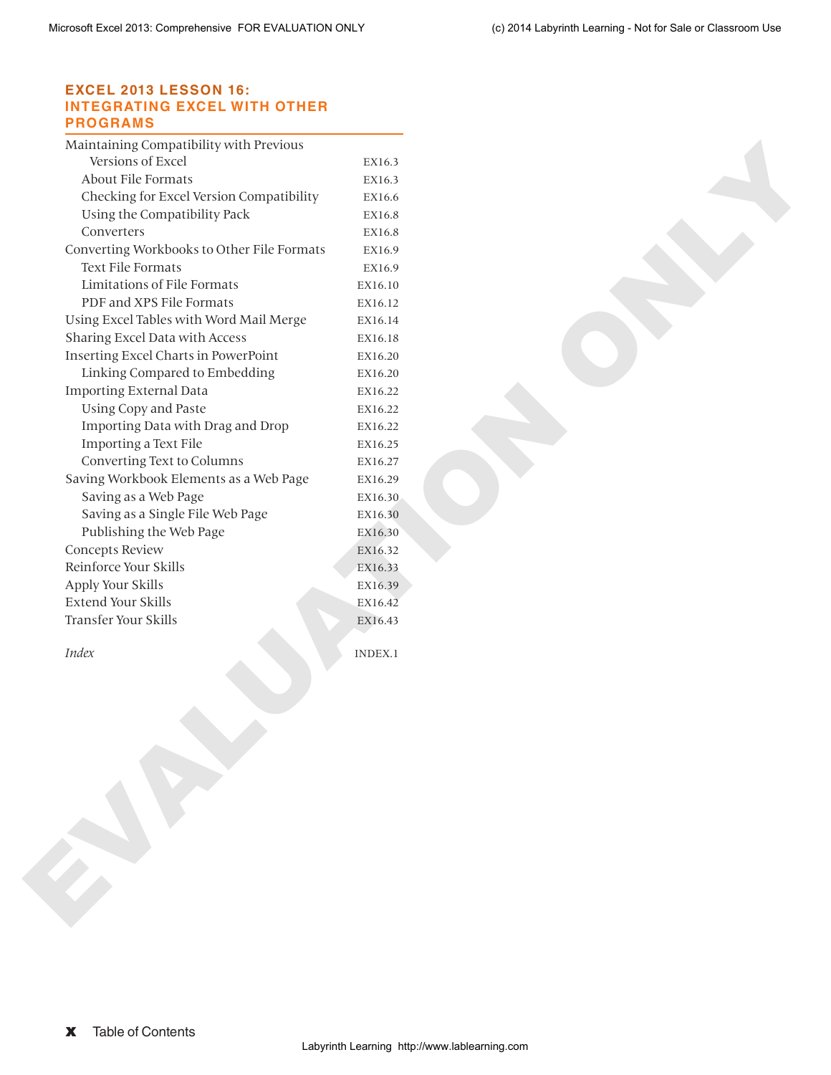#### **EXCEL 2013 LESSON 16: INTEGRATING EXCEL WITH OTHER PROGRAMS**

| Versions of Excel                                          | EX16.3             |  |  |
|------------------------------------------------------------|--------------------|--|--|
| About File Formats                                         | EX16.3             |  |  |
| Checking for Excel Version Compatibility                   | EX16.6             |  |  |
| Using the Compatibility Pack                               | EX16.8             |  |  |
| Converters                                                 | EX16.8             |  |  |
| Converting Workbooks to Other File Formats                 | EX16.9             |  |  |
| Text File Formats                                          | EX16.9             |  |  |
| Limitations of File Formats                                | EX16.10            |  |  |
| PDF and XPS File Formats                                   | EX16.12            |  |  |
| Using Excel Tables with Word Mail Merge                    | EX16.14            |  |  |
| Sharing Excel Data with Access                             | EX16.18            |  |  |
| Inserting Excel Charts in PowerPoint                       | EX16.20            |  |  |
| Linking Compared to Embedding                              | EX16.20            |  |  |
| <b>Importing External Data</b>                             | EX16.22            |  |  |
| <b>Using Copy and Paste</b>                                | EX16.22            |  |  |
| Importing Data with Drag and Drop                          | EX16.22            |  |  |
| Importing a Text File                                      | EX16.25            |  |  |
| Converting Text to Columns                                 | EX16.27            |  |  |
| Saving Workbook Elements as a Web Page                     | EX16.29            |  |  |
| Saving as a Web Page                                       | EX16.30            |  |  |
| Saving as a Single File Web Page                           | EX16.30            |  |  |
| Publishing the Web Page                                    | EX16.30            |  |  |
| Concepts Review                                            | EX16.32            |  |  |
| Reinforce Your Skills                                      | EX16.33            |  |  |
| Apply Your Skills                                          | EX16.39            |  |  |
|                                                            |                    |  |  |
|                                                            |                    |  |  |
|                                                            | EX16.42<br>EX16.43 |  |  |
| <b>Extend Your Skills</b><br>Transfer Your Skills<br>Index | INDEX.1            |  |  |
|                                                            |                    |  |  |
|                                                            |                    |  |  |
|                                                            |                    |  |  |
|                                                            |                    |  |  |
|                                                            |                    |  |  |
|                                                            |                    |  |  |
|                                                            |                    |  |  |
|                                                            |                    |  |  |
| E.                                                         |                    |  |  |
|                                                            |                    |  |  |
|                                                            |                    |  |  |
|                                                            |                    |  |  |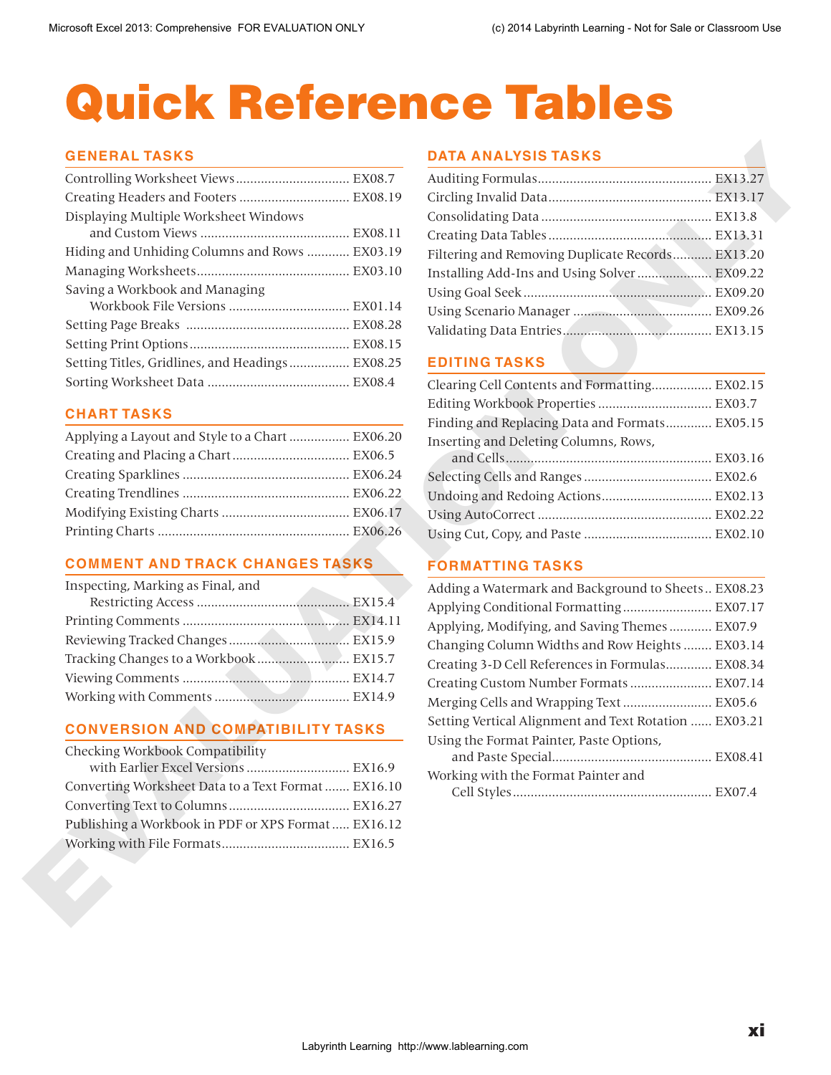# Quick Reference Tables

#### **GENERAL TASKS**

| Creating Headers and Footers  EX08.19               |                                                       |  |
|-----------------------------------------------------|-------------------------------------------------------|--|
| Displaying Multiple Worksheet Windows               |                                                       |  |
|                                                     |                                                       |  |
| Hiding and Unhiding Columns and Rows  EX03.19       | Filtering and Removing Duplicate Records EX13.20      |  |
|                                                     | Installing Add-Ins and Using Solver  EX09.22          |  |
| Saving a Workbook and Managing                      |                                                       |  |
|                                                     |                                                       |  |
|                                                     |                                                       |  |
|                                                     |                                                       |  |
| Setting Titles, Gridlines, and Headings  EX08.25    | <b>EDITING TASKS</b>                                  |  |
|                                                     | Clearing Cell Contents and Formatting EX02.15         |  |
|                                                     | Editing Workbook Properties  EX03.7                   |  |
| <b>CHART TASKS</b>                                  | Finding and Replacing Data and Formats EX05.15        |  |
| Applying a Layout and Style to a Chart  EX06.20     | Inserting and Deleting Columns, Rows,                 |  |
|                                                     |                                                       |  |
|                                                     |                                                       |  |
|                                                     | Undoing and Redoing Actions EX02.13                   |  |
|                                                     |                                                       |  |
|                                                     |                                                       |  |
| <b>COMMENT AND TRACK CHANGES TASKS</b>              | <b>FORMATTING TASKS</b>                               |  |
| Inspecting, Marking as Final, and                   | Adding a Watermark and Background to Sheets EX08.23   |  |
|                                                     | Applying Conditional Formatting EX07.17               |  |
|                                                     | Applying, Modifying, and Saving Themes  EX07.9        |  |
|                                                     | Changing Column Widths and Row Heights  EX03.14       |  |
| Tracking Changes to a Workbook EX15.7               | Creating 3-D Cell References in Formulas EX08.34      |  |
|                                                     | Creating Custom Number Formats  EX07.14               |  |
|                                                     | Merging Cells and Wrapping Text  EX05.6               |  |
| <b>CONVERSION AND COMPATIBILITY TASKS</b>           | Setting Vertical Alignment and Text Rotation  EX03.21 |  |
| Checking Workbook Compatibility                     | Using the Format Painter, Paste Options,              |  |
| with Earlier Excel Versions  EX16.9                 |                                                       |  |
| Converting Worksheet Data to a Text Format  EX16.10 | Working with the Format Painter and                   |  |
|                                                     |                                                       |  |
| Publishing a Workbook in PDF or XPS Format  EX16.12 |                                                       |  |
|                                                     |                                                       |  |
|                                                     |                                                       |  |
|                                                     |                                                       |  |
|                                                     |                                                       |  |
|                                                     |                                                       |  |
|                                                     |                                                       |  |
|                                                     |                                                       |  |
|                                                     |                                                       |  |
|                                                     |                                                       |  |
|                                                     |                                                       |  |

# **CHART TASKS**

| Applying a Layout and Style to a Chart  EX06.20 |  |
|-------------------------------------------------|--|
|                                                 |  |
|                                                 |  |
|                                                 |  |
|                                                 |  |
|                                                 |  |

# **COMMENT AND TRACK CHANGES TASKS**

# **CONVERSION AND COMPATIBILITY TASKS**

| Checking Workbook Compatibility                     |  |
|-----------------------------------------------------|--|
| with Earlier Excel Versions  EX16.9                 |  |
| Converting Worksheet Data to a Text Format  EX16.10 |  |
|                                                     |  |
| Publishing a Workbook in PDF or XPS Format  EX16.12 |  |
|                                                     |  |

#### **DATA ANALYSIS TASKS**

| Filtering and Removing Duplicate Records EX13.20 |  |
|--------------------------------------------------|--|
| Installing Add-Ins and Using Solver  EX09.22     |  |
|                                                  |  |
|                                                  |  |
|                                                  |  |

# **EDITING TASKS**

| Clearing Cell Contents and Formatting EX02.15  |  |
|------------------------------------------------|--|
|                                                |  |
| Finding and Replacing Data and Formats EX05.15 |  |
| Inserting and Deleting Columns, Rows,          |  |
|                                                |  |
|                                                |  |
| Undoing and Redoing Actions EX02.13            |  |
|                                                |  |
|                                                |  |

# **FORMATTING TASKS**

| Adding a Watermark and Background to Sheets EX08.23   |  |
|-------------------------------------------------------|--|
| Applying Conditional Formatting EX07.17               |  |
| Applying, Modifying, and Saving Themes  EX07.9        |  |
| Changing Column Widths and Row Heights  EX03.14       |  |
| Creating 3-D Cell References in Formulas EX08.34      |  |
| Creating Custom Number Formats EX07.14                |  |
| Merging Cells and Wrapping Text  EX05.6               |  |
| Setting Vertical Alignment and Text Rotation  EX03.21 |  |
| Using the Format Painter, Paste Options,              |  |
|                                                       |  |
| Working with the Format Painter and                   |  |
|                                                       |  |